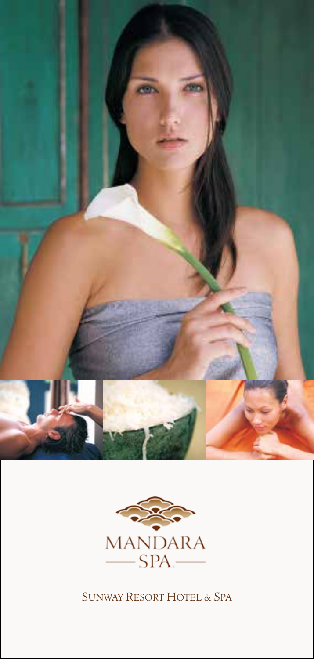



SUNWAY RESORT HOTEL & SPA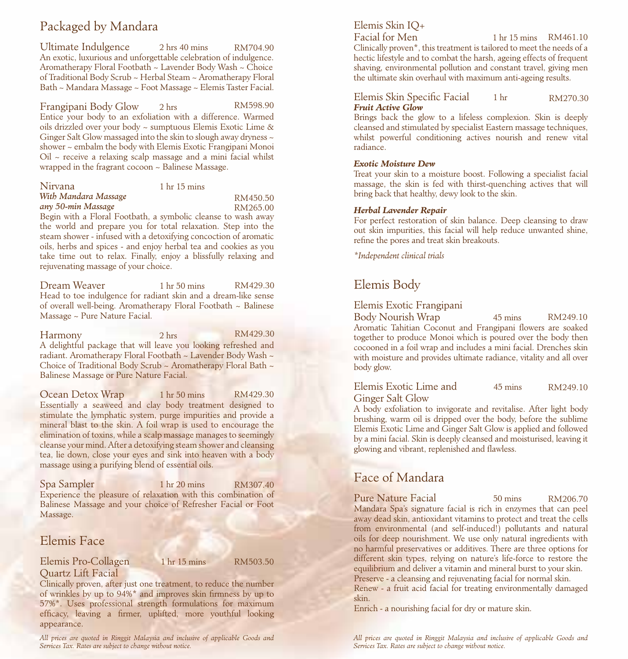# Packaged by Mandara

Ultimate Indulgence 2 hrs 40 mins An exotic, luxurious and unforgettable celebration of indulgence. Aromatherapy Floral Footbath ~ Lavender Body Wash ~ Choice of Traditional Body Scrub ~ Herbal Steam ~ Aromatherapy Floral Bath ~ Mandara Massage ~ Foot Massage ~ Elemis Taster Facial. RM704.90

Frangipani Body Glow 2 hrs Entice your body to an exfoliation with a difference. Warmed oils drizzled over your body ~ sumptuous Elemis Exotic Lime & Ginger Salt Glow massaged into the skin to slough away dryness ~ shower ~ embalm the body with Elemis Exotic Frangipani Monoi  $Oil \sim$  receive a relaxing scalp massage and a mini facial whilst wrapped in the fragrant cocoon ~ Balinese Massage. RM598.90

| Nirvana                                                       | 1 <sub>hr</sub> 15 <sub>mins</sub> |
|---------------------------------------------------------------|------------------------------------|
| With Mandara Massage                                          | RM450.50                           |
| any 50-min Massage                                            | RM265.00                           |
| Begin with a Floral Footbath, a symbolic cleanse to wash away |                                    |

the world and prepare you for total relaxation. Step into the steam shower - infused with a detoxifying concoction of aromatic oils, herbs and spices - and enjoy herbal tea and cookies as you take time out to relax. Finally, enjoy a blissfully relaxing and rejuvenating massage of your choice.  $\frac{55.00}{\text{away}}$ 

Dream Weaver 1 hr 50 mins Head to toe indulgence for radiant skin and a dream-like sense of overall well-being. Aromatherapy Floral Footbath ~ Balinese Massage ~ Pure Nature Facial. RM429.30

Harmony 2 hrs A delightful package that will leave you looking refreshed and radiant. Aromatherapy Floral Footbath ~ Lavender Body Wash ~ Choice of Traditional Body Scrub ~ Aromatherapy Floral Bath ~ Balinese Massage or Pure Nature Facial. RM429.30

Ocean Detox Wrap 1 hr 50 mins Essentially a seaweed and clay body treatment designed to stimulate the lymphatic system, purge impurities and provide a mineral blast to the skin. A foil wrap is used to encourage the elimination of toxins, while a scalp massage manages to seemingly cleanse your mind. After a detoxifying steam shower and cleansing tea, lie down, close your eyes and sink into heaven with a body massage using a purifying blend of essential oils. RM429.30

Spa Sampler 1 hr 20 mins Experience the pleasure of relaxation with this combination of Balinese Massage and your choice of Refresher Facial or Foot Massage. RM307.40

# Elemis Face

## Elemis Pro-Collagen 1 hr 15 mins Quartz Lift Facial

RM503.50

Clinically proven, after just one treatment, to reduce the number of wrinkles by up to 94%\* and improves skin firmness by up to 57%\*. Uses professional strength formulations for maximum efficacy, leaving a firmer, uplifted, more youthful looking appearance.

*All prices are quoted in Ringgit Malaysia and inclusive of applicable Goods and Services Tax. Rates are subject to change without notice.*

# Elemis Skin IQ+

Facial for Men

Clinically proven\*, this treatment is tailored to meet the needs of a hectic lifestyle and to combat the harsh, ageing effects of frequent shaving, environmental pollution and constant travel, giving men the ultimate skin overhaul with maximum anti-ageing results. 1 hr 15 mins RM461.10

#### Elemis Skin Specific Facial 1 hr *Fruit Active Glow* RM270.30

Brings back the glow to a lifeless complexion. Skin is deeply cleansed and stimulated by specialist Eastern massage techniques, whilst powerful conditioning actives nourish and renew vital radiance.

### *Exotic Moisture Dew*

Treat your skin to a moisture boost. Following a specialist facial massage, the skin is fed with thirst-quenching actives that will bring back that healthy, dewy look to the skin.

### *Herbal Lavender Repair*

For perfect restoration of skin balance. Deep cleansing to draw out skin impurities, this facial will help reduce unwanted shine, refine the pores and treat skin breakouts.

*\*Independent clinical trials*

# Elemis Body

# Elemis Exotic Frangipani

Body Nourish Wrap 45 mins Aromatic Tahitian Coconut and Frangipani flowers are soaked together to produce Monoi which is poured over the body then cocooned in a foil wrap and includes a mini facial. Drenches skin with moisture and provides ultimate radiance, vitality and all over body glow. RM249.10

Elemis Exotic Lime and 45 mins Ginger Salt Glow RM249.10

A body exfoliation to invigorate and revitalise. After light body brushing, warm oil is dripped over the body, before the sublime Elemis Exotic Lime and Ginger Salt Glow is applied and followed by a mini facial. Skin is deeply cleansed and moisturised, leaving it glowing and vibrant, replenished and flawless.

# Face of Mandara

Pure Nature Facial 50 mins Mandara Spa's signature facial is rich in enzymes that can peel away dead skin, antioxidant vitamins to protect and treat the cells from environmental (and self-induced!) pollutants and natural oils for deep nourishment. We use only natural ingredients with no harmful preservatives or additives. There are three options for different skin types, relying on nature's life-force to restore the equilibrium and deliver a vitamin and mineral burst to your skin. Preserve - a cleansing and rejuvenating facial for normal skin. RM206.70

Renew - a fruit acid facial for treating environmentally damaged skin.

Enrich - a nourishing facial for dry or mature skin.

*All prices are quoted in Ringgit Malaysia and inclusive of applicable Goods and Services Tax. Rates are subject to change without notice.*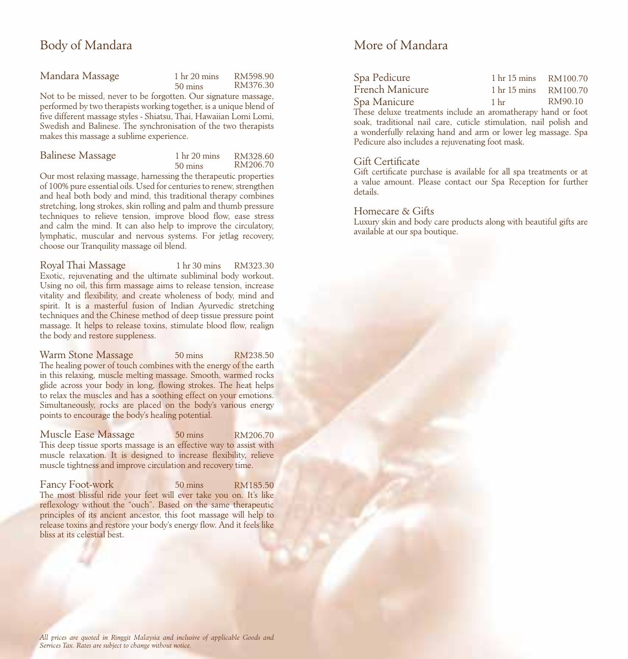# Body of Mandara

| Mandara Massage                                               | 1 <sub>hr</sub> 20 <sub> mins</sub> | RM598.90 |
|---------------------------------------------------------------|-------------------------------------|----------|
|                                                               | $50 \text{ mins}$                   | RM376.30 |
| Not to be missed never to be forgotten. Our signature massage |                                     |          |

Not to be missed, never to be forgotten. Our signature mass performed by two therapists working together, is a unique blend of five different massage styles - Shiatsu, Thai, Hawaiian Lomi Lomi, Swedish and Balinese. The synchronisation of the two therapists makes this massage a sublime experience.

| Balinese Massage | 1 <sub>hr</sub> 20 mins | RM328.60 |
|------------------|-------------------------|----------|
|                  | $50 \text{ mins}$       | RM206.70 |

Our most relaxing massage, harnessing the therapeutic properties of 100% pure essential oils. Used for centuries to renew, strengthen and heal both body and mind, this traditional therapy combines stretching, long strokes, skin rolling and palm and thumb pressure techniques to relieve tension, improve blood flow, ease stress and calm the mind. It can also help to improve the circulatory, lymphatic, muscular and nervous systems. For jetlag recovery, choose our Tranquility massage oil blend.

Royal Thai Massage Exotic, rejuvenating and the ultimate subliminal body workout. Using no oil, this firm massage aims to release tension, increase vitality and flexibility, and create wholeness of body, mind and spirit. It is a masterful fusion of Indian Ayurvedic stretching techniques and the Chinese method of deep tissue pressure point massage. It helps to release toxins, stimulate blood flow, realign the body and restore suppleness. 1 hr 30 mins RM323.30

Warm Stone Massage 50 mins The healing power of touch combines with the energy of the earth in this relaxing, muscle melting massage. Smooth, warmed rocks glide across your body in long, flowing strokes. The heat helps to relax the muscles and has a soothing effect on your emotions. Simultaneously, rocks are placed on the body's various energy points to encourage the body's healing potential. RM238.50

Muscle Ease Massage 50 mins This deep tissue sports massage is an effective way to assist with muscle relaxation. It is designed to increase flexibility, relieve muscle tightness and improve circulation and recovery time. RM206.70

Fancy Foot-work 50 mins The most blissful ride your feet will ever take you on. It's like reflexology without the "ouch". Based on the same therapeutic principles of its ancient ancestor, this foot massage will help to release toxins and restore your body's energy flow. And it feels like bliss at its celestial best. RM185.50

# More of Mandara

| Spa Pedicure    | 1 <sub>hr</sub> 15 <sub>mins</sub> | RM100.70 |
|-----------------|------------------------------------|----------|
| French Manicure | 1 <sub>hr</sub> 15 <sub>mins</sub> | RM100.70 |
| Spa Manicure    | 1 <sub>hr</sub>                    | RM90.10  |

These deluxe treatments include an aromatherapy hand or foot soak, traditional nail care, cuticle stimulation, nail polish and a wonderfully relaxing hand and arm or lower leg massage. Spa Pedicure also includes a rejuvenating foot mask.

# Gift Certificate

Gift certificate purchase is available for all spa treatments or at a value amount. Please contact our Spa Reception for further details.

# Homecare & Gifts

Luxury skin and body care products along with beautiful gifts are available at our spa boutique.